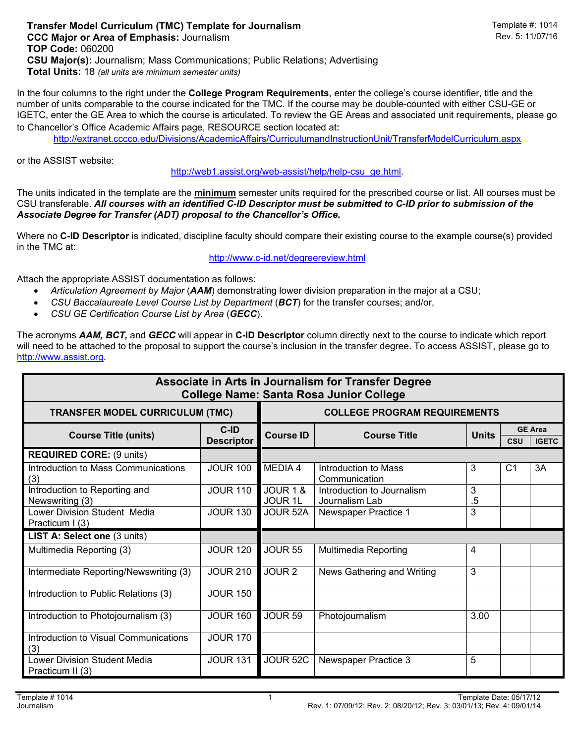In the four columns to the right under the **College Program Requirements**, enter the college's course identifier, title and the number of units comparable to the course indicated for the TMC. If the course may be double-counted with either CSU-GE or IGETC, enter the GE Area to which the course is articulated. To review the GE Areas and associated unit requirements, please go to Chancellor's Office Academic Affairs page, RESOURCE section located at:

http://extranet.cccco.edu/Divisions/AcademicAffairs/CurriculumandInstructionUnit/TransferModelCurriculum.aspx

or the ASSIST website:

http://web1.assist.org/web-assist/help/help-csu\_ge.html.

The units indicated in the template are the **minimum** semester units required for the prescribed course or list. All courses must be CSU transferable. *All courses with an identified C-ID Descriptor must be submitted to C-ID prior to submission of the Associate Degree for Transfer (ADT) proposal to the Chancellor's Office.*

Where no **C-ID Descriptor** is indicated, discipline faculty should compare their existing course to the example course(s) provided in the TMC at:

http://www.c-id.net/degreereview.html

Attach the appropriate ASSIST documentation as follows:

- *Articulation Agreement by Major* (*AAM*) demonstrating lower division preparation in the major at a CSU;
- *CSU Baccalaureate Level Course List by Department* (*BCT*) for the transfer courses; and/or,
- *CSU GE Certification Course List by Area* (*GECC*).

The acronyms *AAM, BCT,* and *GECC* will appear in **C-ID Descriptor** column directly next to the course to indicate which report will need to be attached to the proposal to support the course's inclusion in the transfer degree. To access ASSIST, please go to http://www.assist.org.

| Associate in Arts in Journalism for Transfer Degree<br><b>College Name: Santa Rosa Junior College</b> |                                     |                            |                                              |              |                |                                |  |  |  |  |  |
|-------------------------------------------------------------------------------------------------------|-------------------------------------|----------------------------|----------------------------------------------|--------------|----------------|--------------------------------|--|--|--|--|--|
| <b>TRANSFER MODEL CURRICULUM (TMC)</b>                                                                | <b>COLLEGE PROGRAM REQUIREMENTS</b> |                            |                                              |              |                |                                |  |  |  |  |  |
| <b>Course Title (units)</b>                                                                           | $C-ID$<br><b>Descriptor</b>         | <b>Course ID</b>           | <b>Course Title</b>                          | <b>Units</b> | <b>CSU</b>     | <b>GE Area</b><br><b>IGETC</b> |  |  |  |  |  |
| <b>REQUIRED CORE: (9 units)</b>                                                                       |                                     |                            |                                              |              |                |                                |  |  |  |  |  |
| Introduction to Mass Communications<br>(3)                                                            | <b>JOUR 100</b>                     | MEDIA 4                    | Introduction to Mass<br>Communication        | 3            | C <sub>1</sub> | 3A                             |  |  |  |  |  |
| Introduction to Reporting and<br>Newswriting (3)                                                      | <b>JOUR 110</b>                     | JOUR 1 &<br><b>JOUR 1L</b> | Introduction to Journalism<br>Journalism Lab | 3<br>.5      |                |                                |  |  |  |  |  |
| Lower Division Student Media<br>Practicum I (3)                                                       | <b>JOUR 130</b>                     | JOUR 52A                   | Newspaper Practice 1                         | 3            |                |                                |  |  |  |  |  |
| LIST A: Select one (3 units)                                                                          |                                     |                            |                                              |              |                |                                |  |  |  |  |  |
| Multimedia Reporting (3)                                                                              | <b>JOUR 120</b>                     | JOUR <sub>55</sub>         | <b>Multimedia Reporting</b>                  | 4            |                |                                |  |  |  |  |  |
| Intermediate Reporting/Newswriting (3)                                                                | <b>JOUR 210</b>                     | JOUR <sub>2</sub>          | News Gathering and Writing                   | 3            |                |                                |  |  |  |  |  |
| Introduction to Public Relations (3)                                                                  | <b>JOUR 150</b>                     |                            |                                              |              |                |                                |  |  |  |  |  |
| Introduction to Photojournalism (3)                                                                   | <b>JOUR 160</b>                     | JOUR <sub>59</sub>         | Photojournalism                              | 3.00         |                |                                |  |  |  |  |  |
| Introduction to Visual Communications<br>(3)                                                          | <b>JOUR 170</b>                     |                            |                                              |              |                |                                |  |  |  |  |  |
| Lower Division Student Media<br>Practicum II (3)                                                      | <b>JOUR 131</b>                     | JOUR 52C                   | Newspaper Practice 3                         | 5            |                |                                |  |  |  |  |  |